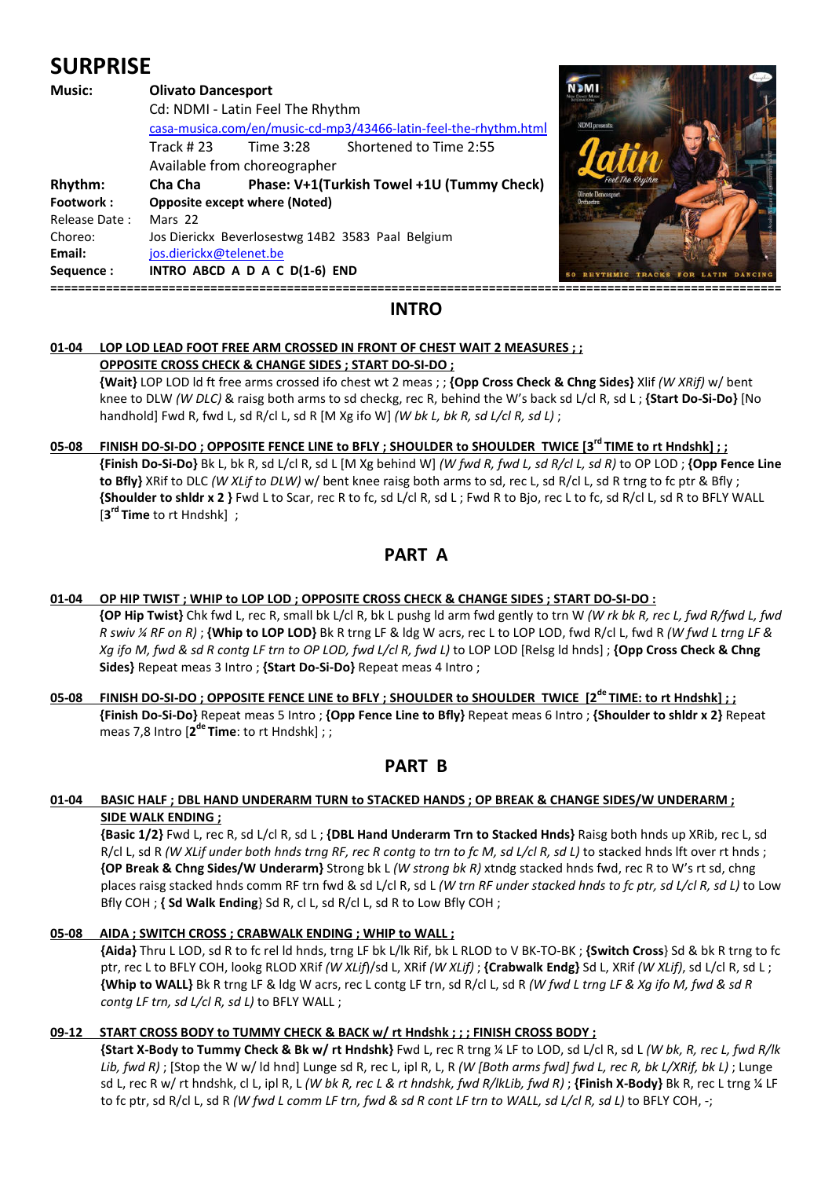# **SURPRISE**

| Music:        | <b>Olivato Dancesport</b><br>Cd: NDMI - Latin Feel The Rhythm<br>casa-musica.com/en/music-cd-mp3/43466-latin-feel-the-rhythm.html<br>Shortened to Time 2:55<br>Track # 23<br>Time 3:28<br>Available from choreographer |  |                                            | <b>NDMI</b> presents      |
|---------------|------------------------------------------------------------------------------------------------------------------------------------------------------------------------------------------------------------------------|--|--------------------------------------------|---------------------------|
| Rhythm:       | Cha Cha                                                                                                                                                                                                                |  | Phase: V+1(Turkish Towel +1U (Tummy Check) | <b>Olivato Dancesport</b> |
| Footwork:     | <b>Opposite except where (Noted)</b>                                                                                                                                                                                   |  |                                            | Orchestro                 |
| Release Date: | Mars 22                                                                                                                                                                                                                |  |                                            |                           |
| Choreo:       | Jos Dierickx Beverlosestwg 14B2 3583 Paal Belgium                                                                                                                                                                      |  |                                            |                           |
| Email:        | jos.dierickx@telenet.be                                                                                                                                                                                                |  |                                            |                           |
| Sequence:     | INTRO ABCD A D A C D(1-6) END                                                                                                                                                                                          |  |                                            |                           |
|               |                                                                                                                                                                                                                        |  |                                            |                           |



# **INTRO**

#### **01-04 LOP LOD LEAD FOOT FREE ARM CROSSED IN FRONT OF CHEST WAIT 2 MEASURES ; ; OPPOSITE CROSS CHECK & CHANGE SIDES ; START DO-SI-DO ;**

 **{Wait}** LOP LOD ld ft free arms crossed ifo chest wt 2 meas ; ; **{Opp Cross Check & Chng Sides}** Xlif *(W XRif)* w/ bent knee to DLW *(W DLC)* & raisg both arms to sd checkg, rec R, behind the W's back sd L/cl R, sd L ; **{Start Do-Si-Do}** [No handhold] Fwd R, fwd L, sd R/cl L, sd R [M Xg ifo W] *(W bk L, bk R, sd L/cl R, sd L)* ;

### **05-08 FINISH DO-SI-DO ; OPPOSITE FENCE LINE to BFLY ; SHOULDER to SHOULDER TWICE [3rd TIME to rt Hndshk] ; ; {Finish Do-Si-Do}** Bk L, bk R, sd L/cl R, sd L [M Xg behind W] *(W fwd R, fwd L, sd R/cl L, sd R)* to OP LOD ; **{Opp Fence Line to Bfly}** XRif to DLC *(W XLif to DLW)* w/ bent knee raisg both arms to sd, rec L, sd R/cl L, sd R trng to fc ptr & Bfly ; **{Shoulder to shldr x 2 }** Fwd L to Scar, rec R to fc, sd L/cl R, sd L ; Fwd R to Bjo, rec L to fc, sd R/cl L, sd R to BFLY WALL [**3 rd Time** to rt Hndshk] ;

# **PART A**

## **01-04 OP HIP TWIST ; WHIP to LOP LOD ; OPPOSITE CROSS CHECK & CHANGE SIDES ; START DO-SI-DO : {OP Hip Twist}** Chk fwd L, rec R, small bk L/cl R, bk L pushg ld arm fwd gently to trn W *(W rk bk R, rec L, fwd R/fwd L, fwd R swiv ¼ RF on R)* ; **{Whip to LOP LOD}** Bk R trng LF & ldg W acrs, rec L to LOP LOD, fwd R/cl L, fwd R *(W fwd L trng LF & Xg ifo M, fwd & sd R contg LF trn to OP LOD, fwd L/cl R, fwd L)* to LOP LOD [Relsg ld hnds] ; **{Opp Cross Check & Chng Sides}** Repeat meas 3 Intro ; **{Start Do-Si-Do}** Repeat meas 4 Intro ;

**05-08 FINISH DO-SI-DO ; OPPOSITE FENCE LINE to BFLY ; SHOULDER to SHOULDER TWICE [2de TIME: to rt Hndshk] ; ; {Finish Do-Si-Do}** Repeat meas 5 Intro ; **{Opp Fence Line to Bfly}** Repeat meas 6 Intro ; **{Shoulder to shldr x 2}** Repeat meas 7,8 Intro [2<sup>de</sup> Time: to rt Hndshk];;

# **PART B**

## **01-04 BASIC HALF ; DBL HAND UNDERARM TURN to STACKED HANDS ; OP BREAK & CHANGE SIDES/W UNDERARM ; SIDE WALK ENDING ;**

**{Basic 1/2}** Fwd L, rec R, sd L/cl R, sd L ; **{DBL Hand Underarm Trn to Stacked Hnds}** Raisg both hnds up XRib, rec L, sd R/cl L, sd R *(W XLif under both hnds trng RF, rec R contg to trn to fc M, sd L/cl R, sd L)* to stacked hnds lft over rt hnds ; **{OP Break & Chng Sides/W Underarm}** Strong bk L *(W strong bk R)* xtndg stacked hnds fwd, rec R to W's rt sd, chng places raisg stacked hnds comm RF trn fwd & sd L/cl R, sd L *(W trn RF under stacked hnds to fc ptr, sd L/cl R, sd L)* to Low Bfly COH ; **{ Sd Walk Ending**} Sd R, cl L, sd R/cl L, sd R to Low Bfly COH ;

# **05-08 AIDA ; SWITCH CROSS ; CRABWALK ENDING ; WHIP to WALL ;**

**{Aida}** Thru L LOD, sd R to fc rel ld hnds, trng LF bk L/lk Rif, bk L RLOD to V BK-TO-BK ; **{Switch Cross**} Sd & bk R trng to fc ptr, rec L to BFLY COH, lookg RLOD XRif *(W XLif*)/sd L, XRif *(W XLif)* ; **{Crabwalk Endg}** Sd L, XRif *(W XLif)*, sd L/cl R, sd L ; **{Whip to WALL}** Bk R trng LF & ldg W acrs, rec L contg LF trn, sd R/cl L, sd R *(W fwd L trng LF & Xg ifo M, fwd & sd R contg LF trn, sd L/cl R, sd L)* to BFLY WALL ;

#### **09-12 START CROSS BODY to TUMMY CHECK & BACK w/ rt Hndshk ; ; ; FINISH CROSS BODY ;**

**{Start X-Body to Tummy Check & Bk w/ rt Hndshk}** Fwd L, rec R trng ¼ LF to LOD, sd L/cl R, sd L *(W bk, R, rec L, fwd R/lk Lib, fwd R)* ; [Stop the W w/ ld hnd] Lunge sd R, rec L, ipl R, L, R *(W [Both arms fwd] fwd L, rec R, bk L/XRif, bk L)* ; Lunge sd L, rec R w/ rt hndshk, cl L, ipl R, L *(W bk R, rec L & rt hndshk, fwd R/lkLib, fwd R)* ; **{Finish X-Body}** Bk R, rec L trng ¼ LF to fc ptr, sd R/cl L, sd R *(W fwd L comm LF trn, fwd & sd R cont LF trn to WALL, sd L/cl R, sd L)* to BFLY COH, -;